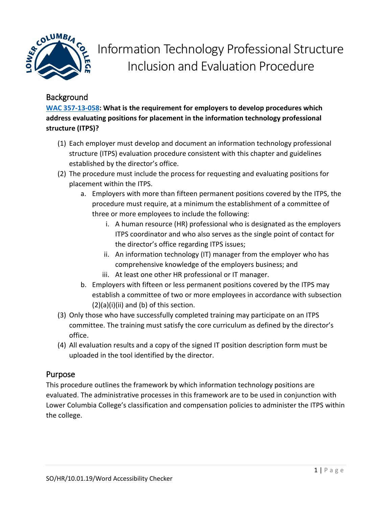

# Information Technology Professional Structure Inclusion and Evaluation Procedure

# **Background**

**[WAC 357-13-058:](https://apps.leg.wa.gov/WAC/default.aspx?cite=357-13-058) What is the requirement for employers to develop procedures which address evaluating positions for placement in the information technology professional structure (ITPS)?**

- (1) Each employer must develop and document an information technology professional structure (ITPS) evaluation procedure consistent with this chapter and guidelines established by the director's office.
- (2) The procedure must include the process for requesting and evaluating positions for placement within the ITPS.
	- a. Employers with more than fifteen permanent positions covered by the ITPS, the procedure must require, at a minimum the establishment of a committee of three or more employees to include the following:
		- i. A human resource (HR) professional who is designated as the employers ITPS coordinator and who also serves as the single point of contact for the director's office regarding ITPS issues;
		- ii. An information technology (IT) manager from the employer who has comprehensive knowledge of the employers business; and
		- iii. At least one other HR professional or IT manager.
	- b. Employers with fifteen or less permanent positions covered by the ITPS may establish a committee of two or more employees in accordance with subsection  $(2)(a)(i)(ii)$  and  $(b)$  of this section.
- (3) Only those who have successfully completed training may participate on an ITPS committee. The training must satisfy the core curriculum as defined by the director's office.
- (4) All evaluation results and a copy of the signed IT position description form must be uploaded in the tool identified by the director.

## Purpose

This procedure outlines the framework by which information technology positions are evaluated. The administrative processes in this framework are to be used in conjunction with Lower Columbia College's classification and compensation policies to administer the ITPS within the college.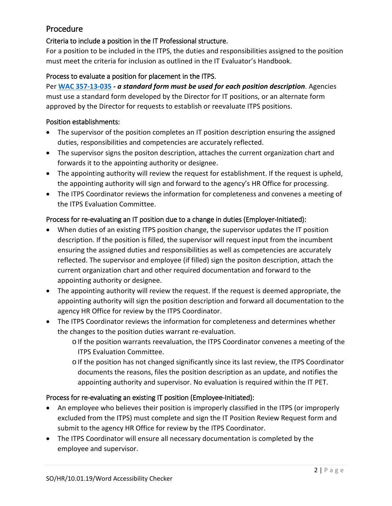## Procedure

## Criteria to include a position in the IT Professional structure.

For a position to be included in the ITPS, the duties and responsibilities assigned to the position must meet the criteria for inclusion as outlined in the IT Evaluator's Handbook.

### Process to evaluate a position for placement in the ITPS.

Per **[WAC 357-13-035](https://apps.leg.wa.gov/WAC/default.aspx?cite=357-13-035) -** *a standard form must be used for each position description*. Agencies must use a standard form developed by the Director for IT positions, or an alternate form approved by the Director for requests to establish or reevaluate ITPS positions.

#### Position establishments:

- The supervisor of the position completes an IT position description ensuring the assigned duties, responsibilities and competencies are accurately reflected.
- The supervisor signs the positon description, attaches the current organization chart and forwards it to the appointing authority or designee.
- The appointing authority will review the request for establishment. If the request is upheld, the appointing authority will sign and forward to the agency's HR Office for processing.
- The ITPS Coordinator reviews the information for completeness and convenes a meeting of the ITPS Evaluation Committee.

#### Process for re-evaluating an IT position due to a change in duties (Employer-Initiated):

- When duties of an existing ITPS position change, the supervisor updates the IT position description. If the position is filled, the supervisor will request input from the incumbent ensuring the assigned duties and responsibilities as well as competencies are accurately reflected. The supervisor and employee (if filled) sign the positon description, attach the current organization chart and other required documentation and forward to the appointing authority or designee.
- The appointing authority will review the request. If the request is deemed appropriate, the appointing authority will sign the position description and forward all documentation to the agency HR Office for review by the ITPS Coordinator.
- The ITPS Coordinator reviews the information for completeness and determines whether the changes to the position duties warrant re-evaluation.
	- o If the position warrants reevaluation, the ITPS Coordinator convenes a meeting of the ITPS Evaluation Committee.
	- o If the position has not changed significantly since its last review, the ITPS Coordinator documents the reasons, files the position description as an update, and notifies the appointing authority and supervisor. No evaluation is required within the IT PET.

#### Process for re-evaluating an existing IT position (Employee-Initiated):

- An employee who believes their position is improperly classified in the ITPS (or improperly excluded from the ITPS) must complete and sign the IT Position Review Request form and submit to the agency HR Office for review by the ITPS Coordinator.
- The ITPS Coordinator will ensure all necessary documentation is completed by the employee and supervisor.